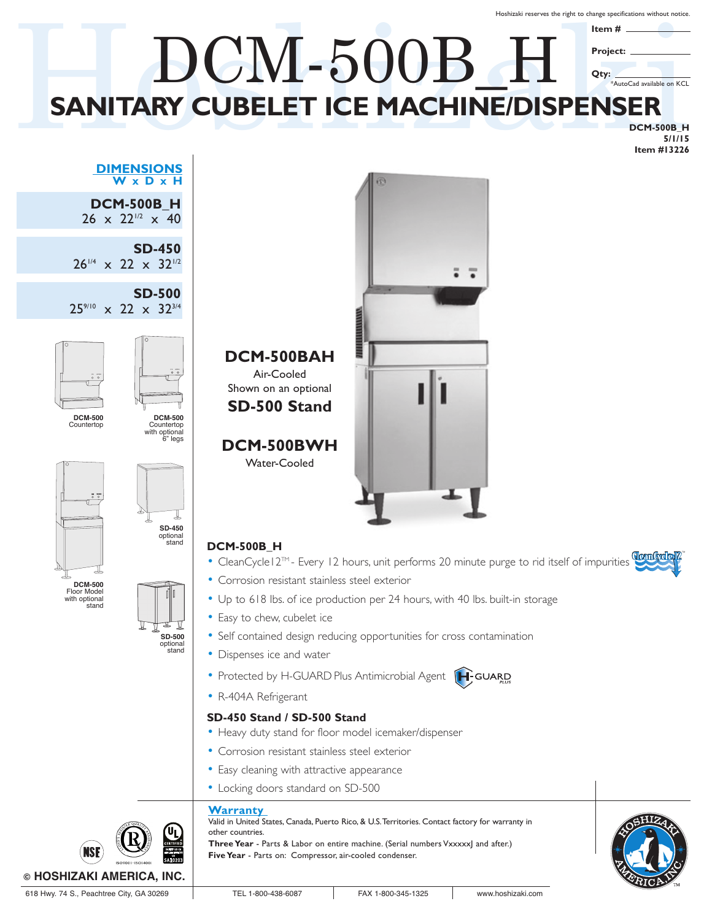Hoshizaki reserves the right to change specifications without notice.

# SANITARY CUBELET ICE MACHINE/DISPENSER **SANITARY CUBELET ICE MACHINE/DISPENSER** DCM-500B\_H **Item # Project: Qty:** \*AutoCad available on KCL

**DCM-500B\_H 5/1/15 Item #13226**